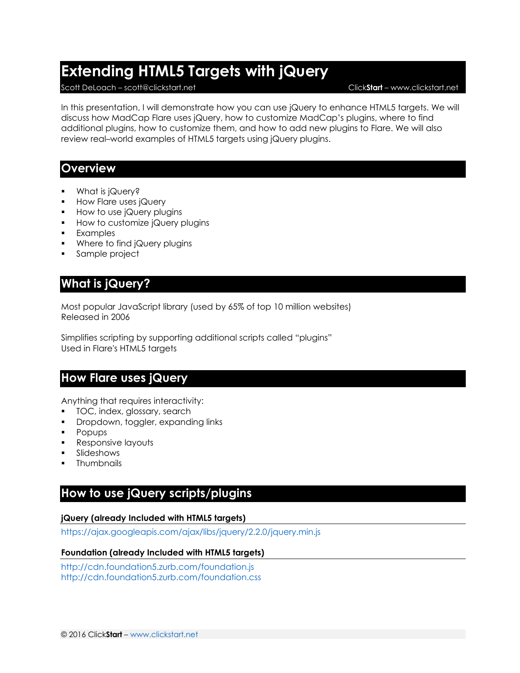# **Extending HTML5 Targets with jQuery**

#### Scott DeLoach – scott@clickstart.net Click**Start** – www.clickstart.net

In this presentation, I will demonstrate how you can use jQuery to enhance HTML5 targets. We will discuss how MadCap Flare uses jQuery, how to customize MadCap's plugins, where to find additional plugins, how to customize them, and how to add new plugins to Flare. We will also review real–world examples of HTML5 targets using jQuery plugins.

### **Overview**

- What is jQuery?
- How Flare uses jQuery
- $\blacksquare$  How to use jQuery plugins
- **How to customize jQuery plugins**
- Examples
- **Where to find jQuery plugins**
- Sample project

## **What is jQuery?**

Most popular JavaScript library (used by 65% of top 10 million websites) Released in 2006

Simplifies scripting by supporting additional scripts called "plugins" Used in Flare's HTML5 targets

### **How Flare uses jQuery**

Anything that requires interactivity:

- **TOC, index, glossary, search**
- **•** Dropdown, toggler, expanding links
- **Popups**
- Responsive layouts
- Slideshows
- Thumbnails

### **How to use jQuery scripts/plugins**

### **jQuery (already Included with HTML5 targets)**

<https://ajax.googleapis.com/ajax/libs/jquery/2.2.0/jquery.min.js>

#### **Foundation (already Included with HTML5 targets)**

<http://cdn.foundation5.zurb.com/foundation.js> <http://cdn.foundation5.zurb.com/foundation.css>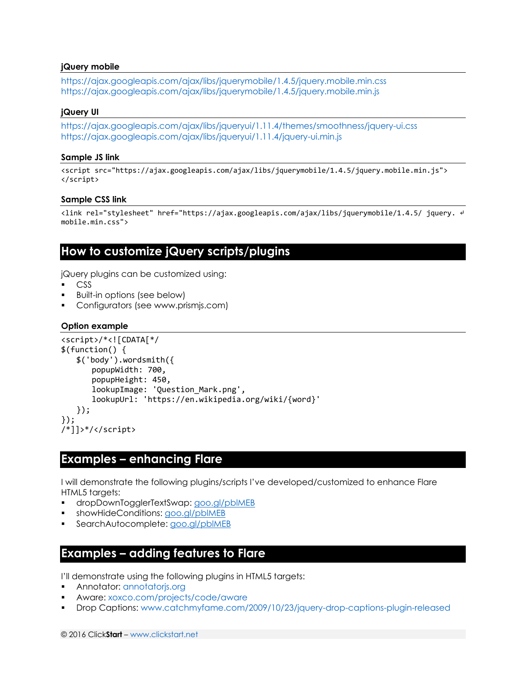#### **jQuery mobile**

<https://ajax.googleapis.com/ajax/libs/jquerymobile/1.4.5/jquery.mobile.min.css> <https://ajax.googleapis.com/ajax/libs/jquerymobile/1.4.5/jquery.mobile.min.js>

#### **jQuery UI**

<https://ajax.googleapis.com/ajax/libs/jqueryui/1.11.4/themes/smoothness/jquery-ui.css> <https://ajax.googleapis.com/ajax/libs/jqueryui/1.11.4/jquery-ui.min.js>

#### **Sample JS link**

<script src="https://ajax.googleapis.com/ajax/libs/jquerymobile/1.4.5/jquery.mobile.min.js"> </script>

#### **Sample CSS link**

<link rel="stylesheet" href="https://ajax.googleapis.com/ajax/libs/jquerymobile/1.4.5/ jquery. ↵ mobile.min.css">

### **How to customize jQuery scripts/plugins**

jQuery plugins can be customized using:

- CSS
- Built-in options (see below)
- Configurators (see www.prismjs.com)

### **Option example**

```
<script>/*<![CDATA[*/
$(function() {
   $('body').wordsmith({
      popupWidth: 700,
      popupHeight: 450,
      lookupImage: 'Question_Mark.png',
      lookupUrl: 'https://en.wikipedia.org/wiki/{word}'
   });
});
/*]]>*/</script>
```
### **Examples – enhancing Flare**

I will demonstrate the following plugins/scripts I've developed/customized to enhance Flare HTML5 targets:

- dropDownTogglerTextSwap:<goo.gl/pblMEB>
- showHideConditions: [goo.gl/pblMEB](file:///C:/Users/scott/Desktop/clients/madworld%2016/handouts/goo.gl/pblMEB)
- SearchAutocomplete: [goo.gl/pblMEB](file:///C:/Users/scott/Desktop/clients/madworld%2016/handouts/goo.gl/pblMEB)

### **Examples – adding features to Flare**

I'll demonstrate using the following plugins in HTML5 targets:

- Annotator:<annotatorjs.org>
- Aware:<xoxco.com/projects/code/aware>
- Drop Captions:<www.catchmyfame.com/2009/10/23/jquery-drop-captions-plugin-released>